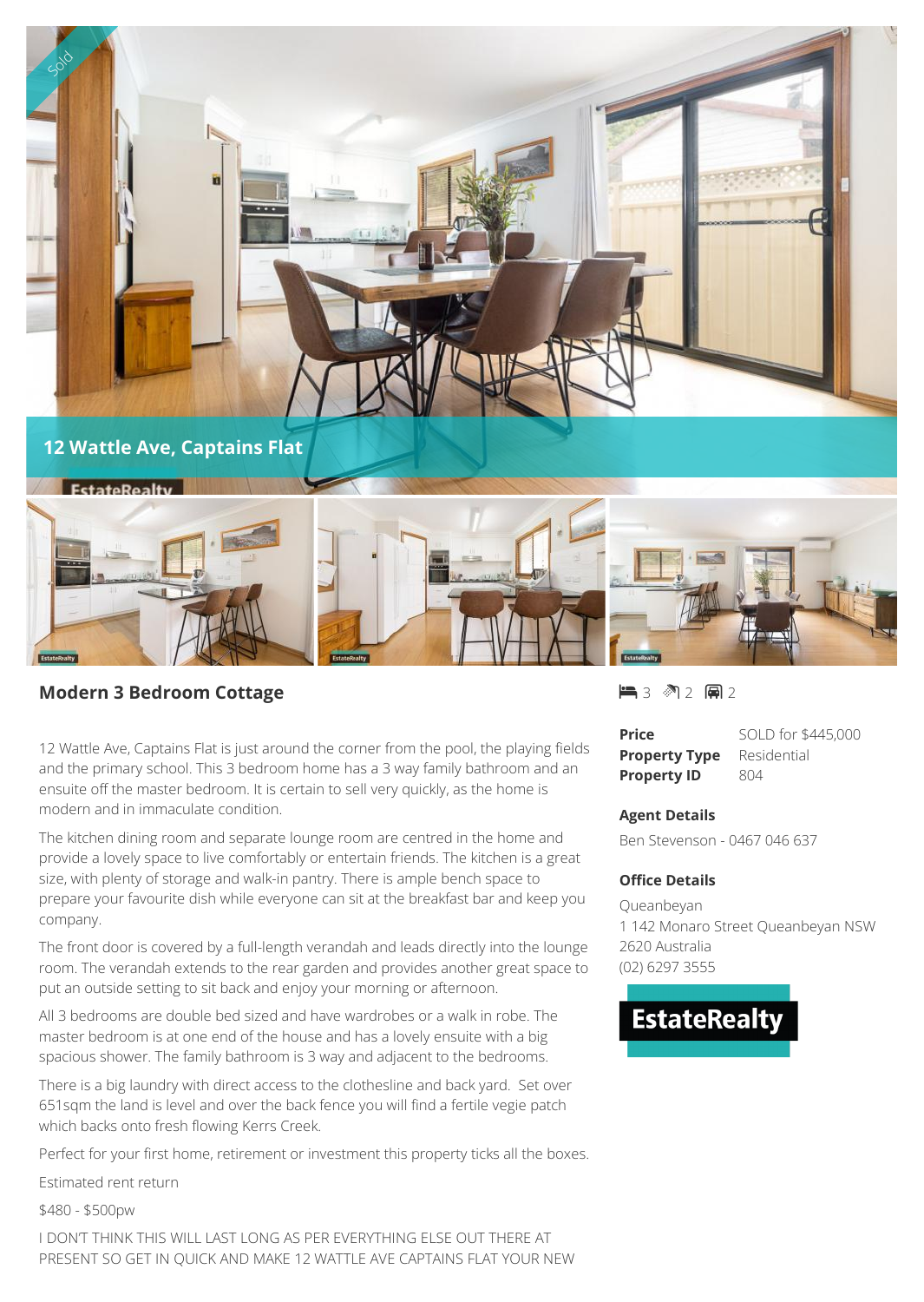

## **Modern 3 Bedroom Cottage**

12 Wattle Ave, Captains Flat is just around the corner from the pool, the playing fields and the primary school. This 3 bedroom home has a 3 way family bathroom and an ensuite off the master bedroom. It is certain to sell very quickly, as the home is modern and in immaculate condition.

The kitchen dining room and separate lounge room are centred in the home and provide a lovely space to live comfortably or entertain friends. The kitchen is a great size, with plenty of storage and walk-in pantry. There is ample bench space to prepare your favourite dish while everyone can sit at the breakfast bar and keep you company.

The front door is covered by a full-length verandah and leads directly into the lounge room. The verandah extends to the rear garden and provides another great space to put an outside setting to sit back and enjoy your morning or afternoon.

All 3 bedrooms are double bed sized and have wardrobes or a walk in robe. The master bedroom is at one end of the house and has a lovely ensuite with a big spacious shower. The family bathroom is 3 way and adjacent to the bedrooms.

There is a big laundry with direct access to the clothesline and back yard. Set over 651sqm the land is level and over the back fence you will find a fertile vegie patch which backs onto fresh flowing Kerrs Creek.

Perfect for your first home, retirement or investment this property ticks all the boxes.

Estimated rent return

\$480 - \$500pw

I DON'T THINK THIS WILL LAST LONG AS PER EVERYTHING ELSE OUT THERE AT PRESENT SO GET IN QUICK AND MAKE 12 WATTLE AVE CAPTAINS FLAT YOUR NEW 1■3 图2 闸2

**Price** SOLD for \$445,000 **Property Type** Residential **Property ID** 804

## **Agent Details**

Ben Stevenson - 0467 046 637

## **Office Details**

Queanbeyan 1 142 Monaro Street Queanbeyan NSW 2620 Australia (02) 6297 3555